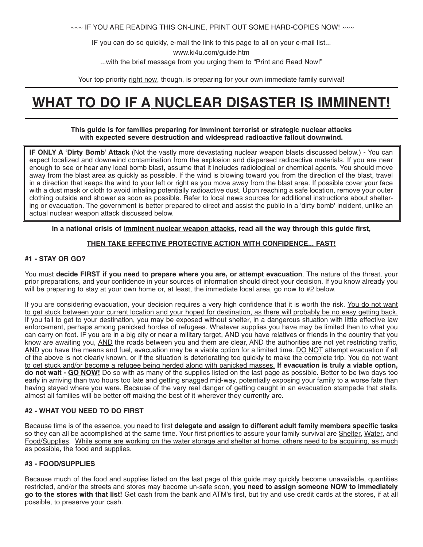~~~ IF YOU ARE READING THIS ON-LINE, PRINT OUT SOME HARD-COPIES NOW! ~~~

IF you can do so quickly, e-mail the link to this page to all on your e-mail list...

www.ki4u.com/guide.htm

...with the brief message from you urging them to "Print and Read Now!"

Your top priority right now, though, is preparing for your own immediate family survival!

# **WHAT TO DO IF A NUCLEAR DISASTER IS IMMINENT!**

#### **This guide is for families preparing for imminent terrorist or strategic nuclear attacks with expected severe destruction and widespread radioactive fallout downwind.**

**IF ONLY A 'Dirty Bomb' Attack** (Not the vastly more devastating nuclear weapon blasts discussed below.) - You can expect localized and downwind contamination from the explosion and dispersed radioactive materials. If you are near enough to see or hear any local bomb blast, assume that it includes radiological or chemical agents. You should move away from the blast area as quickly as possible. If the wind is blowing toward you from the direction of the blast, travel in a direction that keeps the wind to your left or right as you move away from the blast area. If possible cover your face with a dust mask or cloth to avoid inhaling potentially radioactive dust. Upon reaching a safe location, remove your outer clothing outside and shower as soon as possible. Refer to local news sources for additional instructions about sheltering or evacuation. The government is better prepared to direct and assist the public in a 'dirty bomb' incident, unlike an actual nuclear weapon attack discussed below.

**In a national crisis of imminent nuclear weapon attacks, read all the way through this guide first,**

# **THEN TAKE EFFECTIVE PROTECTIVE ACTION WITH CONFIDENCE... FAST!**

#### **#1 - STAY OR GO?**

You must **decide FIRST if you need to prepare where you are, or attempt evacuation**. The nature of the threat, your prior preparations, and your confidence in your sources of information should direct your decision. If you know already you will be preparing to stay at your own home or, at least, the immediate local area, go now to #2 below.

If you are considering evacuation, your decision requires a very high confidence that it is worth the risk. You do not want to get stuck between your current location and your hoped for destination, as there will probably be no easy getting back. If you fail to get to your destination, you may be exposed without shelter, in a dangerous situation with little effective law enforcement, perhaps among panicked hordes of refugees. Whatever supplies you have may be limited then to what you can carry on foot. IF you are in a big city or near a military target, AND you have relatives or friends in the country that you know are awaiting you, AND the roads between you and them are clear, AND the authorities are not yet restricting traffic, AND you have the means and fuel, evacuation may be a viable option for a limited time. DO NOT attempt evacuation if all of the above is not clearly known, or if the situation is deteriorating too quickly to make the complete trip. You do not want to get stuck and/or become a refugee being herded along with panicked masses. **If evacuation is truly a viable option, do not wait - GO NOW!** Do so with as many of the supplies listed on the last page as possible. Better to be two days too early in arriving than two hours too late and getting snagged mid-way, potentially exposing your family to a worse fate than having stayed where you were. Because of the very real danger of getting caught in an evacuation stampede that stalls, almost all families will be better off making the best of it wherever they currently are.

# **#2 - WHAT YOU NEED TO DO FIRST**

Because time is of the essence, you need to first **delegate and assign to different adult family members specific tasks** so they can all be accomplished at the same time. Your first priorities to assure your family survival are Shelter, Water, and Food/Supplies. While some are working on the water storage and shelter at home, others need to be acquiring, as much as possible, the food and supplies.

#### **#3 - FOOD/SUPPLIES**

Because much of the food and supplies listed on the last page of this guide may quickly become unavailable, quantities restricted, and/or the streets and stores may become un-safe soon, **you need to assign someone NOW to immediately go to the stores with that list!** Get cash from the bank and ATM's first, but try and use credit cards at the stores, if at all possible, to preserve your cash.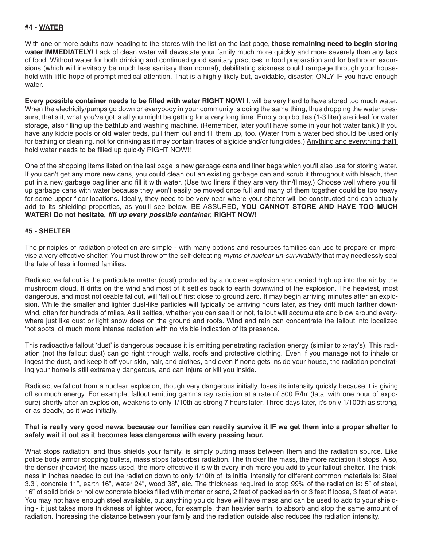#### **#4 - WATER**

With one or more adults now heading to the stores with the list on the last page, **those remaining need to begin storing water IMMEDIATELY!** Lack of clean water will devastate your family much more quickly and more severely than any lack of food. Without water for both drinking and continued good sanitary practices in food preparation and for bathroom excursions (which will inevitably be much less sanitary than normal), debilitating sickness could rampage through your household with little hope of prompt medical attention. That is a highly likely but, avoidable, disaster, ONLY IF you have enough water.

**Every possible container needs to be filled with water RIGHT NOW!** It will be very hard to have stored too much water. When the electricity/pumps go down or everybody in your community is doing the same thing, thus dropping the water pressure, that's it, what you've got is all you might be getting for a very long time. Empty pop bottles (1-3 liter) are ideal for water storage, also filling up the bathtub and washing machine. (Remember, later you'll have some in your hot water tank.) If you have any kiddie pools or old water beds, pull them out and fill them up, too. (Water from a water bed should be used only for bathing or cleaning, not for drinking as it may contain traces of algicide and/or fungicides.) Anything and everything that'll hold water needs to be filled up quickly RIGHT NOW!!

One of the shopping items listed on the last page is new garbage cans and liner bags which you'll also use for storing water. If you can't get any more new cans, you could clean out an existing garbage can and scrub it throughout with bleach, then put in a new garbage bag liner and fill it with water. (Use two liners if they are very thin/flimsy.) Choose well where you fill up garbage cans with water because they won't easily be moved once full and many of them together could be too heavy for some upper floor locations. Ideally, they need to be very near where your shelter will be constructed and can actually add to its shielding properties, as you'll see below. BE ASSURED, **YOU CANNOT STORE AND HAVE TOO MUCH WATER! Do not hesitate, fill up every possible container, RIGHT NOW!**

#### **#5 - SHELTER**

The principles of radiation protection are simple - with many options and resources families can use to prepare or improvise a very effective shelter. You must throw off the self-defeating myths of nuclear un-survivability that may needlessly seal the fate of less informed families.

Radioactive fallout is the particulate matter (dust) produced by a nuclear explosion and carried high up into the air by the mushroom cloud. It drifts on the wind and most of it settles back to earth downwind of the explosion. The heaviest, most dangerous, and most noticeable fallout, will 'fall out' first close to ground zero. It may begin arriving minutes after an explosion. While the smaller and lighter dust-like particles will typically be arriving hours later, as they drift much farther downwind, often for hundreds of miles. As it settles, whether you can see it or not, fallout will accumulate and blow around everywhere just like dust or light snow does on the ground and roofs. Wind and rain can concentrate the fallout into localized 'hot spots' of much more intense radiation with no visible indication of its presence.

This radioactive fallout 'dust' is dangerous because it is emitting penetrating radiation energy (similar to x-ray's). This radiation (not the fallout dust) can go right through walls, roofs and protective clothing. Even if you manage not to inhale or ingest the dust, and keep it off your skin, hair, and clothes, and even if none gets inside your house, the radiation penetrating your home is still extremely dangerous, and can injure or kill you inside.

Radioactive fallout from a nuclear explosion, though very dangerous initially, loses its intensity quickly because it is giving off so much energy. For example, fallout emitting gamma ray radiation at a rate of 500 R/hr (fatal with one hour of exposure) shortly after an explosion, weakens to only 1/10th as strong 7 hours later. Three days later, it's only 1/100th as strong, or as deadly, as it was initially.

#### **That is really very good news, because our families can readily survive it IF we get them into a proper shelter to safely wait it out as it becomes less dangerous with every passing hour.**

What stops radiation, and thus shields your family, is simply putting mass between them and the radiation source. Like police body armor stopping bullets, mass stops (absorbs) radiation. The thicker the mass, the more radiation it stops. Also, the denser (heavier) the mass used, the more effective it is with every inch more you add to your fallout shelter. The thickness in inches needed to cut the radiation down to only 1/10th of its initial intensity for different common materials is: Steel 3.3", concrete 11", earth 16", water 24", wood 38", etc. The thickness required to stop 99% of the radiation is: 5" of steel, 16" of solid brick or hollow concrete blocks filled with mortar or sand, 2 feet of packed earth or 3 feet if loose, 3 feet of water. You may not have enough steel available, but anything you do have will have mass and can be used to add to your shielding - it just takes more thickness of lighter wood, for example, than heavier earth, to absorb and stop the same amount of radiation. Increasing the distance between your family and the radiation outside also reduces the radiation intensity.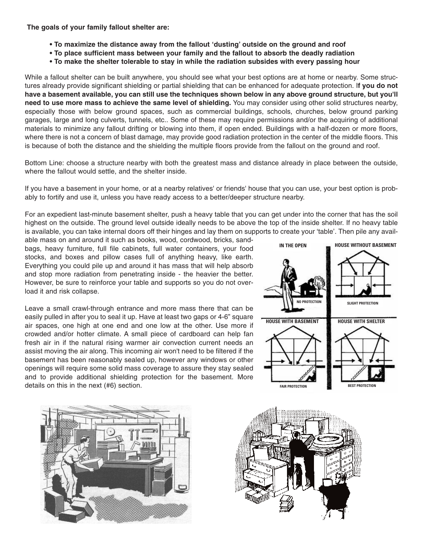**The goals of your family fallout shelter are:**

- **To maximize the distance away from the fallout 'dusting' outside on the ground and roof**
- **To place sufficient mass between your family and the fallout to absorb the deadly radiation**
- **To make the shelter tolerable to stay in while the radiation subsides with every passing hour**

While a fallout shelter can be built anywhere, you should see what your best options are at home or nearby. Some structures already provide significant shielding or partial shielding that can be enhanced for adequate protection. I**f you do not have a basement available, you can still use the techniques shown below in any above ground structure, but you'll need to use more mass to achieve the same level of shielding.** You may consider using other solid structures nearby, especially those with below ground spaces, such as commercial buildings, schools, churches, below ground parking garages, large and long culverts, tunnels, etc.. Some of these may require permissions and/or the acquiring of additional materials to minimize any fallout drifting or blowing into them, if open ended. Buildings with a half-dozen or more floors, where there is not a concern of blast damage, may provide good radiation protection in the center of the middle floors. This is because of both the distance and the shielding the multiple floors provide from the fallout on the ground and roof.

Bottom Line: choose a structure nearby with both the greatest mass and distance already in place between the outside, where the fallout would settle, and the shelter inside.

If you have a basement in your home, or at a nearby relatives' or friends' house that you can use, your best option is probably to fortify and use it, unless you have ready access to a better/deeper structure nearby.

For an expedient last-minute basement shelter, push a heavy table that you can get under into the corner that has the soil highest on the outside. The ground level outside ideally needs to be above the top of the inside shelter. If no heavy table is available, you can take internal doors off their hinges and lay them on supports to create your 'table'. Then pile any avail-

able mass on and around it such as books, wood, cordwood, bricks, sandbags, heavy furniture, full file cabinets, full water containers, your food stocks, and boxes and pillow cases full of anything heavy, like earth. Everything you could pile up and around it has mass that will help absorb and stop more radiation from penetrating inside - the heavier the better. However, be sure to reinforce your table and supports so you do not overload it and risk collapse.

Leave a small crawl-through entrance and more mass there that can be easily pulled in after you to seal it up. Have at least two gaps or 4-6" square air spaces, one high at one end and one low at the other. Use more if crowded and/or hotter climate. A small piece of cardboard can help fan fresh air in if the natural rising warmer air convection current needs an assist moving the air along. This incoming air won't need to be filtered if the basement has been reasonably sealed up, however any windows or other openings will require some solid mass coverage to assure they stay sealed and to provide additional shielding protection for the basement. More details on this in the next (#6) section.





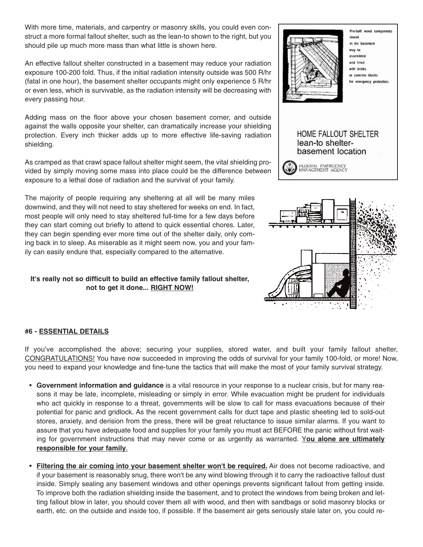With more time, materials, and carpentry or masonry skills, you could even construct a more formal fallout shelter, such as the lean-to shown to the right, but you should pile up much more mass than what little is shown here.

An effective fallout shelter constructed in a basement may reduce your radiation exposure 100-200 fold. Thus, if the initial radiation intensity outside was 500 R/hr (fatal in one hour), the basement shelter occupants might only experience 5 R/hr or even less, which is survivable, as the radiation intensity will be decreasing with every passing hour.

Adding mass on the floor above your chosen basement corner, and outside against the walls opposite your shelter, can dramatically increase your shielding protection. Every inch thicker adds up to more effective life-saving radiation shielding.

As cramped as that crawl space fallout shelter might seem, the vital shielding provided by simply moving some mass into place could be the difference between exposure to a lethal dose of radiation and the survival of your family.

The majority of people requiring any sheltering at all will be many miles downwind, and they will not need to stay sheltered for weeks on end. In fact, most people will only need to stay sheltered full-time for a few days before they can start coming out briefly to attend to quick essential chores. Later, they can begin spending ever more time out of the shelter daily, only coming back in to sleep. As miserable as it might seem now, you and your family can easily endure that, especially compared to the alternative.

# **It's really not so difficult to build an effective family fallout shelter, not to get it done... RIGHT NOW!**



Pre-built wood components stored in the basement may be assembled and filled with bricks or concrete blocks for emergency protection

HOME FALLOUT SHELTER lean-to shelterbasement location





# **#6 - ESSENTIAL DETAILS**

If you've accomplished the above; securing your supplies, stored water, and built your family fallout shelter, CONGRATULATIONS! You have now succeeded in improving the odds of survival for your family 100-fold, or more! Now, you need to expand your knowledge and fine-tune the tactics that will make the most of your family survival strategy.

- **Government information and guidance** is a vital resource in your response to a nuclear crisis, but for many reasons it may be late, incomplete, misleading or simply in error. While evacuation might be prudent for individuals who act quickly in response to a threat, governments will be slow to call for mass evacuations because of their potential for panic and gridlock. As the recent government calls for duct tape and plastic sheeting led to sold-out stores, anxiety, and derision from the press, there will be great reluctance to issue similar alarms. If you want to assure that you have adequate food and supplies for your family you must act BEFORE the panic without first waiting for government instructions that may never come or as urgently as warranted. Y**ou alone are ultimately responsible for your family**.
- **Filtering the air coming into your basement shelter won't be required.** Air does not become radioactive, and if your basement is reasonably snug, there won't be any wind blowing through it to carry the radioactive fallout dust inside. Simply sealing any basement windows and other openings prevents significant fallout from getting inside. To improve both the radiation shielding inside the basement, and to protect the windows from being broken and letting fallout blow in later, you should cover them all with wood, and then with sandbags or solid masonry blocks or earth, etc. on the outside and inside too, if possible. If the basement air gets seriously stale later on, you could re-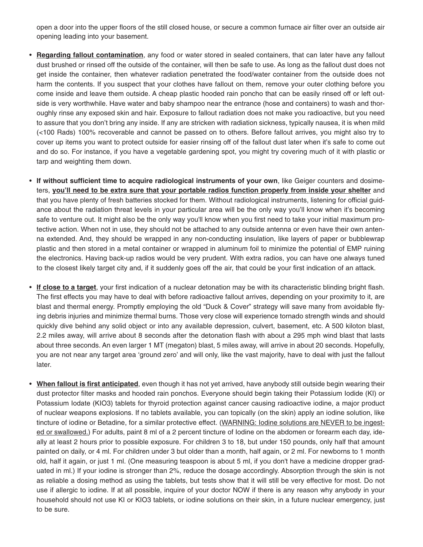open a door into the upper floors of the still closed house, or secure a common furnace air filter over an outside air opening leading into your basement.

- **Regarding fallout contamination**, any food or water stored in sealed containers, that can later have any fallout dust brushed or rinsed off the outside of the container, will then be safe to use. As long as the fallout dust does not get inside the container, then whatever radiation penetrated the food/water container from the outside does not harm the contents. If you suspect that your clothes have fallout on them, remove your outer clothing before you come inside and leave them outside. A cheap plastic hooded rain poncho that can be easily rinsed off or left outside is very worthwhile. Have water and baby shampoo near the entrance (hose and containers) to wash and thoroughly rinse any exposed skin and hair. Exposure to fallout radiation does not make you radioactive, but you need to assure that you don't bring any inside. If any are stricken with radiation sickness, typically nausea, it is when mild (<100 Rads) 100% recoverable and cannot be passed on to others. Before fallout arrives, you might also try to cover up items you want to protect outside for easier rinsing off of the fallout dust later when it's safe to come out and do so. For instance, if you have a vegetable gardening spot, you might try covering much of it with plastic or tarp and weighting them down.
- **If without sufficient time to acquire radiological instruments of your own**, like Geiger counters and dosimeters, **you'll need to be extra sure that your portable radios function properly from inside your shelter** and that you have plenty of fresh batteries stocked for them. Without radiological instruments, listening for official guidance about the radiation threat levels in your particular area will be the only way you'll know when it's becoming safe to venture out. It might also be the only way you'll know when you first need to take your initial maximum protective action. When not in use, they should not be attached to any outside antenna or even have their own antenna extended. And, they should be wrapped in any non-conducting insulation, like layers of paper or bubblewrap plastic and then stored in a metal container or wrapped in aluminum foil to minimize the potential of EMP ruining the electronics. Having back-up radios would be very prudent. With extra radios, you can have one always tuned to the closest likely target city and, if it suddenly goes off the air, that could be your first indication of an attack.
- **If close to a target**, your first indication of a nuclear detonation may be with its characteristic blinding bright flash. The first effects you may have to deal with before radioactive fallout arrives, depending on your proximity to it, are blast and thermal energy. Promptly employing the old "Duck & Cover" strategy will save many from avoidable flying debris injuries and minimize thermal burns. Those very close will experience tornado strength winds and should quickly dive behind any solid object or into any available depression, culvert, basement, etc. A 500 kiloton blast, 2.2 miles away, will arrive about 8 seconds after the detonation flash with about a 295 mph wind blast that lasts about three seconds. An even larger 1 MT (megaton) blast, 5 miles away, will arrive in about 20 seconds. Hopefully, you are not near any target area 'ground zero' and will only, like the vast majority, have to deal with just the fallout later.
- **When fallout is first anticipated**, even though it has not yet arrived, have anybody still outside begin wearing their dust protector filter masks and hooded rain ponchos. Everyone should begin taking their Potassium Iodide (KI) or Potassium Iodate (KIO3) tablets for thyroid protection against cancer causing radioactive iodine, a major product of nuclear weapons explosions. If no tablets available, you can topically (on the skin) apply an iodine solution, like tincture of iodine or Betadine, for a similar protective effect. (WARNING: Iodine solutions are NEVER to be ingested or swallowed.) For adults, paint 8 ml of a 2 percent tincture of Iodine on the abdomen or forearm each day, ideally at least 2 hours prior to possible exposure. For children 3 to 18, but under 150 pounds, only half that amount painted on daily, or 4 ml. For children under 3 but older than a month, half again, or 2 ml. For newborns to 1 month old, half it again, or just 1 ml. (One measuring teaspoon is about 5 ml, if you don't have a medicine dropper graduated in ml.) If your iodine is stronger than 2%, reduce the dosage accordingly. Absorption through the skin is not as reliable a dosing method as using the tablets, but tests show that it will still be very effective for most. Do not use if allergic to iodine. If at all possible, inquire of your doctor NOW if there is any reason why anybody in your household should not use KI or KIO3 tablets, or iodine solutions on their skin, in a future nuclear emergency, just to be sure.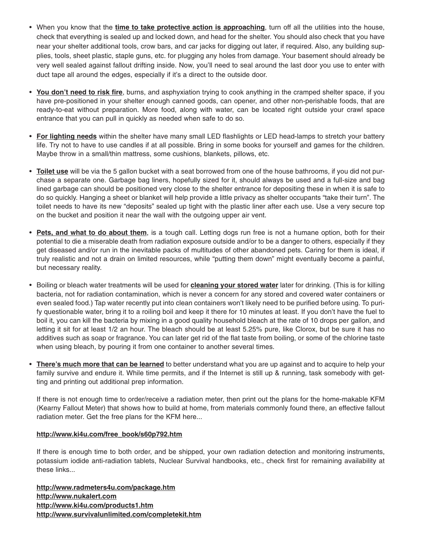- When you know that the **time to take protective action is approaching**, turn off all the utilities into the house, check that everything is sealed up and locked down, and head for the shelter. You should also check that you have near your shelter additional tools, crow bars, and car jacks for digging out later, if required. Also, any building supplies, tools, sheet plastic, staple guns, etc. for plugging any holes from damage. Your basement should already be very well sealed against fallout drifting inside. Now, you'll need to seal around the last door you use to enter with duct tape all around the edges, especially if it's a direct to the outside door.
- **You don't need to risk fire**, burns, and asphyxiation trying to cook anything in the cramped shelter space, if you have pre-positioned in your shelter enough canned goods, can opener, and other non-perishable foods, that are ready-to-eat without preparation. More food, along with water, can be located right outside your crawl space entrance that you can pull in quickly as needed when safe to do so.
- **For lighting needs** within the shelter have many small LED flashlights or LED head-lamps to stretch your battery life. Try not to have to use candles if at all possible. Bring in some books for yourself and games for the children. Maybe throw in a small/thin mattress, some cushions, blankets, pillows, etc.
- **Toilet use** will be via the 5 gallon bucket with a seat borrowed from one of the house bathrooms, if you did not purchase a separate one. Garbage bag liners, hopefully sized for it, should always be used and a full-size and bag lined garbage can should be positioned very close to the shelter entrance for depositing these in when it is safe to do so quickly. Hanging a sheet or blanket will help provide a little privacy as shelter occupants "take their turn". The toilet needs to have its new "deposits" sealed up tight with the plastic liner after each use. Use a very secure top on the bucket and position it near the wall with the outgoing upper air vent.
- **Pets, and what to do about them**, is a tough call. Letting dogs run free is not a humane option, both for their potential to die a miserable death from radiation exposure outside and/or to be a danger to others, especially if they get diseased and/or run in the inevitable packs of multitudes of other abandoned pets. Caring for them is ideal, if truly realistic and not a drain on limited resources, while "putting them down" might eventually become a painful, but necessary reality.
- Boiling or bleach water treatments will be used for **cleaning your stored water** later for drinking. (This is for killing bacteria, not for radiation contamination, which is never a concern for any stored and covered water containers or even sealed food.) Tap water recently put into clean containers won't likely need to be purified before using. To purify questionable water, bring it to a roiling boil and keep it there for 10 minutes at least. If you don't have the fuel to boil it, you can kill the bacteria by mixing in a good quality household bleach at the rate of 10 drops per gallon, and letting it sit for at least 1/2 an hour. The bleach should be at least 5.25% pure, like Clorox, but be sure it has no additives such as soap or fragrance. You can later get rid of the flat taste from boiling, or some of the chlorine taste when using bleach, by pouring it from one container to another several times.
- **There's much more that can be learned** to better understand what you are up against and to acquire to help your family survive and endure it. While time permits, and if the Internet is still up & running, task somebody with getting and printing out additional prep information.

If there is not enough time to order/receive a radiation meter, then print out the plans for the home-makable KFM (Kearny Fallout Meter) that shows how to build at home, from materials commonly found there, an effective fallout radiation meter. Get the free plans for the KFM here...

# **http://www.ki4u.com/free\_book/s60p792.htm**

If there is enough time to both order, and be shipped, your own radiation detection and monitoring instruments, potassium iodide anti-radiation tablets, Nuclear Survival handbooks, etc., check first for remaining availability at these links...

**http://www.radmeters4u.com/package.htm http://www.nukalert.com http://www.ki4u.com/products1.htm http://www.survivalunlimited.com/completekit.htm**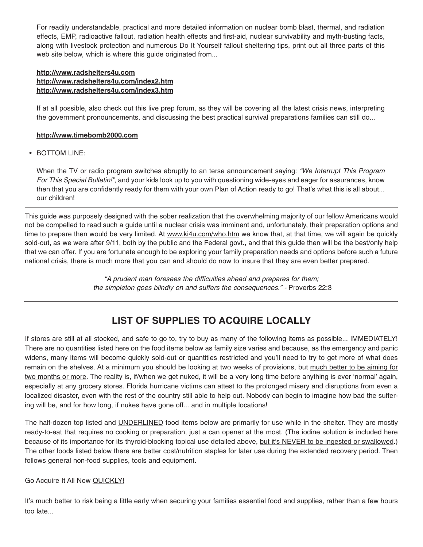For readily understandable, practical and more detailed information on nuclear bomb blast, thermal, and radiation effects, EMP, radioactive fallout, radiation health effects and first-aid, nuclear survivability and myth-busting facts, along with livestock protection and numerous Do It Yourself fallout sheltering tips, print out all three parts of this web site below, which is where this guide originated from...

# **http://www.radshelters4u.com http://www.radshelters4u.com/index2.htm http://www.radshelters4u.com/index3.htm**

If at all possible, also check out this live prep forum, as they will be covering all the latest crisis news, interpreting the government pronouncements, and discussing the best practical survival preparations families can still do...

# **http://www.timebomb2000.com**

• BOTTOM LINE:

When the TV or radio program switches abruptly to an terse announcement saying: "We Interrupt This Program For This Special Bulletin!", and your kids look up to you with questioning wide-eyes and eager for assurances, know then that you are confidently ready for them with your own Plan of Action ready to go! That's what this is all about... our children!

This guide was purposely designed with the sober realization that the overwhelming majority of our fellow Americans would not be compelled to read such a guide until a nuclear crisis was imminent and, unfortunately, their preparation options and time to prepare then would be very limited. At www.ki4u.com/who.htm we know that, at that time, we will again be quickly sold-out, as we were after 9/11, both by the public and the Federal govt., and that this guide then will be the best/only help that we can offer. If you are fortunate enough to be exploring your family preparation needs and options before such a future national crisis, there is much more that you can and should do now to insure that they are even better prepared.

> "A prudent man foresees the difficulties ahead and prepares for them; the simpleton goes blindly on and suffers the consequences." - Proverbs 22:3

# **LIST OF SUPPLIES TO ACQUIRE LOCALLY**

If stores are still at all stocked, and safe to go to, try to buy as many of the following items as possible... **IMMEDIATELY!** There are no quantities listed here on the food items below as family size varies and because, as the emergency and panic widens, many items will become quickly sold-out or quantities restricted and you'll need to try to get more of what does remain on the shelves. At a minimum you should be looking at two weeks of provisions, but much better to be aiming for two months or more. The reality is, if/when we get nuked, it will be a very long time before anything is ever 'normal' again, especially at any grocery stores. Florida hurricane victims can attest to the prolonged misery and disruptions from even a localized disaster, even with the rest of the country still able to help out. Nobody can begin to imagine how bad the suffering will be, and for how long, if nukes have gone off... and in multiple locations!

The half-dozen top listed and UNDERLINED food items below are primarily for use while in the shelter. They are mostly ready-to-eat that requires no cooking or preparation, just a can opener at the most. (The iodine solution is included here because of its importance for its thyroid-blocking topical use detailed above, but it's NEVER to be ingested or swallowed.) The other foods listed below there are better cost/nutrition staples for later use during the extended recovery period. Then follows general non-food supplies, tools and equipment.

# Go Acquire It All Now QUICKLY!

It's much better to risk being a little early when securing your families essential food and supplies, rather than a few hours too late...